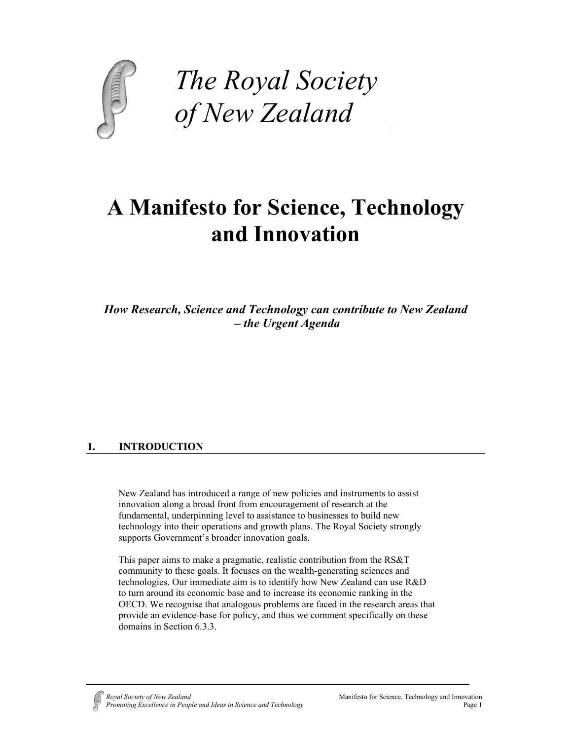

*The Royal Society of New Zealand*

# **A Manifesto for Science, Technology and Innovation**

*How Research, Science and Technology can contribute to New Zealand – the Urgent Agenda*

# **1. INTRODUCTION**

New Zealand has introduced a range of new policies and instruments to assist innovation along a broad front from encouragement of research at the fundamental, underpinning level to assistance to businesses to build new technology into their operations and growth plans. The Royal Society strongly supports Government's broader innovation goals.

This paper aims to make a pragmatic, realistic contribution from the RS&T community to these goals. It focuses on the wealth-generating sciences and technologies. Our immediate aim is to identify how New Zealand can use R&D to turn around its economic base and to increase its economic ranking in the OECD. We recognise that analogous problems are faced in the research areas that provide an evidence-base for policy, and thus we comment specifically on these domains in Section 6.3.3.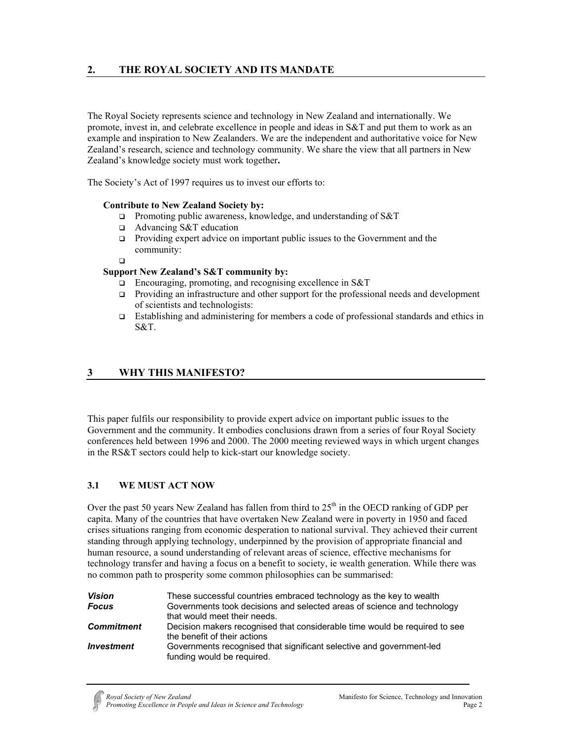The Royal Society represents science and technology in New Zealand and internationally. We promote, invest in, and celebrate excellence in people and ideas in S&T and put them to work as an example and inspiration to New Zealanders. We are the independent and authoritative voice for New Zealand's research, science and technology community. We share the view that all partners in New Zealand's knowledge society must work together**.** 

The Society's Act of 1997 requires us to invest our efforts to:

## **Contribute to New Zealand Society by:**

- □ Promoting public awareness, knowledge, and understanding of S&T
- Advancing S&T education
- $\Box$  Providing expert advice on important public issues to the Government and the community:

## $\Box$

## **Support New Zealand's S&T community by:**

- Encouraging, promoting, and recognising excellence in S&T
- Providing an infrastructure and other support for the professional needs and development of scientists and technologists:
- Establishing and administering for members a code of professional standards and ethics in S&T.

# **3 WHY THIS MANIFESTO?**

This paper fulfils our responsibility to provide expert advice on important public issues to the Government and the community. It embodies conclusions drawn from a series of four Royal Society conferences held between 1996 and 2000. The 2000 meeting reviewed ways in which urgent changes in the RS&T sectors could help to kick-start our knowledge society.

# **3.1 WE MUST ACT NOW**

Over the past 50 years New Zealand has fallen from third to  $25<sup>th</sup>$  in the OECD ranking of GDP per capita. Many of the countries that have overtaken New Zealand were in poverty in 1950 and faced crises situations ranging from economic desperation to national survival. They achieved their current standing through applying technology, underpinned by the provision of appropriate financial and human resource, a sound understanding of relevant areas of science, effective mechanisms for technology transfer and having a focus on a benefit to society, ie wealth generation. While there was no common path to prosperity some common philosophies can be summarised:

| <b>Vision</b>            | These successful countries embraced technology as the key to wealth                                        |  |  |  |
|--------------------------|------------------------------------------------------------------------------------------------------------|--|--|--|
| <b>Focus</b>             | Governments took decisions and selected areas of science and technology<br>that would meet their needs.    |  |  |  |
| <b>Commitment</b>        | Decision makers recognised that considerable time would be required to see<br>the benefit of their actions |  |  |  |
| <i><b>Investment</b></i> | Governments recognised that significant selective and government-led<br>funding would be required.         |  |  |  |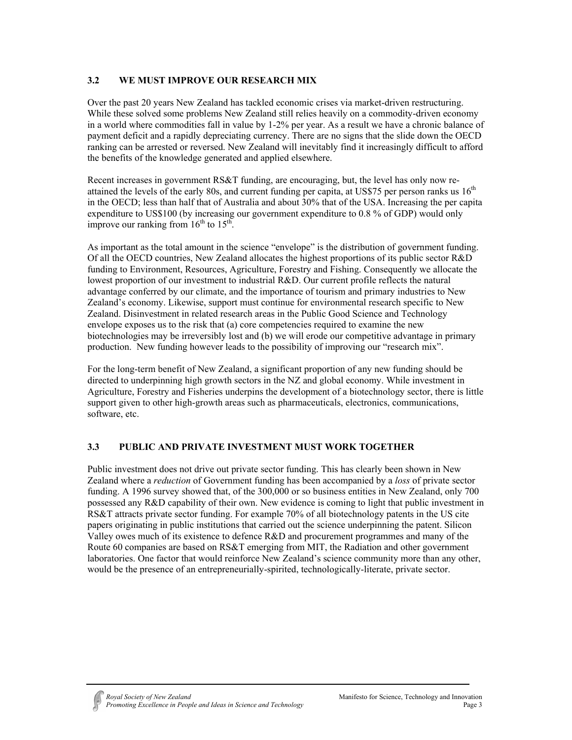# **3.2 WE MUST IMPROVE OUR RESEARCH MIX**

Over the past 20 years New Zealand has tackled economic crises via market-driven restructuring. While these solved some problems New Zealand still relies heavily on a commodity-driven economy in a world where commodities fall in value by 1-2% per year. As a result we have a chronic balance of payment deficit and a rapidly depreciating currency. There are no signs that the slide down the OECD ranking can be arrested or reversed. New Zealand will inevitably find it increasingly difficult to afford the benefits of the knowledge generated and applied elsewhere.

Recent increases in government RS&T funding, are encouraging, but, the level has only now reattained the levels of the early 80s, and current funding per capita, at US\$75 per person ranks us 16<sup>th</sup> in the OECD; less than half that of Australia and about 30% that of the USA. Increasing the per capita expenditure to US\$100 (by increasing our government expenditure to 0.8 % of GDP) would only improve our ranking from  $16<sup>th</sup>$  to  $15<sup>th</sup>$ .

As important as the total amount in the science "envelope" is the distribution of government funding. Of all the OECD countries, New Zealand allocates the highest proportions of its public sector R&D funding to Environment, Resources, Agriculture, Forestry and Fishing. Consequently we allocate the lowest proportion of our investment to industrial R&D. Our current profile reflects the natural advantage conferred by our climate, and the importance of tourism and primary industries to New Zealand's economy. Likewise, support must continue for environmental research specific to New Zealand. Disinvestment in related research areas in the Public Good Science and Technology envelope exposes us to the risk that (a) core competencies required to examine the new biotechnologies may be irreversibly lost and (b) we will erode our competitive advantage in primary production. New funding however leads to the possibility of improving our "research mix".

For the long-term benefit of New Zealand, a significant proportion of any new funding should be directed to underpinning high growth sectors in the NZ and global economy. While investment in Agriculture, Forestry and Fisheries underpins the development of a biotechnology sector, there is little support given to other high-growth areas such as pharmaceuticals, electronics, communications, software, etc.

# **3.3 PUBLIC AND PRIVATE INVESTMENT MUST WORK TOGETHER**

Public investment does not drive out private sector funding. This has clearly been shown in New Zealand where a *reduction* of Government funding has been accompanied by a *loss* of private sector funding. A 1996 survey showed that, of the 300,000 or so business entities in New Zealand, only 700 possessed any R&D capability of their own. New evidence is coming to light that public investment in RS&T attracts private sector funding. For example 70% of all biotechnology patents in the US cite papers originating in public institutions that carried out the science underpinning the patent. Silicon Valley owes much of its existence to defence R&D and procurement programmes and many of the Route 60 companies are based on RS&T emerging from MIT, the Radiation and other government laboratories. One factor that would reinforce New Zealand's science community more than any other, would be the presence of an entrepreneurially-spirited, technologically-literate, private sector.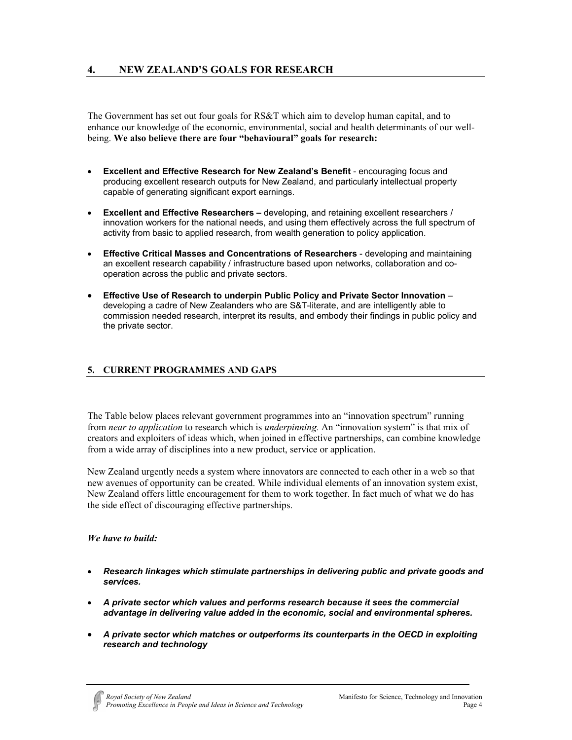The Government has set out four goals for RS&T which aim to develop human capital, and to enhance our knowledge of the economic, environmental, social and health determinants of our wellbeing. **We also believe there are four "behavioural" goals for research:**

- **Excellent and Effective Research for New Zealand's Benefit** encouraging focus and producing excellent research outputs for New Zealand, and particularly intellectual property capable of generating significant export earnings.
- **Excellent and Effective Researchers** developing, and retaining excellent researchers / innovation workers for the national needs, and using them effectively across the full spectrum of activity from basic to applied research, from wealth generation to policy application.
- **Effective Critical Masses and Concentrations of Researchers** developing and maintaining an excellent research capability / infrastructure based upon networks, collaboration and cooperation across the public and private sectors.
- **Effective Use of Research to underpin Public Policy and Private Sector Innovation** developing a cadre of New Zealanders who are S&T-literate, and are intelligently able to commission needed research, interpret its results, and embody their findings in public policy and the private sector.

# **5. CURRENT PROGRAMMES AND GAPS**

The Table below places relevant government programmes into an "innovation spectrum" running from *near to application* to research which is *underpinning.* An "innovation system" is that mix of creators and exploiters of ideas which, when joined in effective partnerships, can combine knowledge from a wide array of disciplines into a new product, service or application.

New Zealand urgently needs a system where innovators are connected to each other in a web so that new avenues of opportunity can be created. While individual elements of an innovation system exist, New Zealand offers little encouragement for them to work together. In fact much of what we do has the side effect of discouraging effective partnerships.

## *We have to build:*

- *Research linkages which stimulate partnerships in delivering public and private goods and services.*
- *A private sector which values and performs research because it sees the commercial advantage in delivering value added in the economic, social and environmental spheres.*
- *A private sector which matches or outperforms its counterparts in the OECD in exploiting research and technology*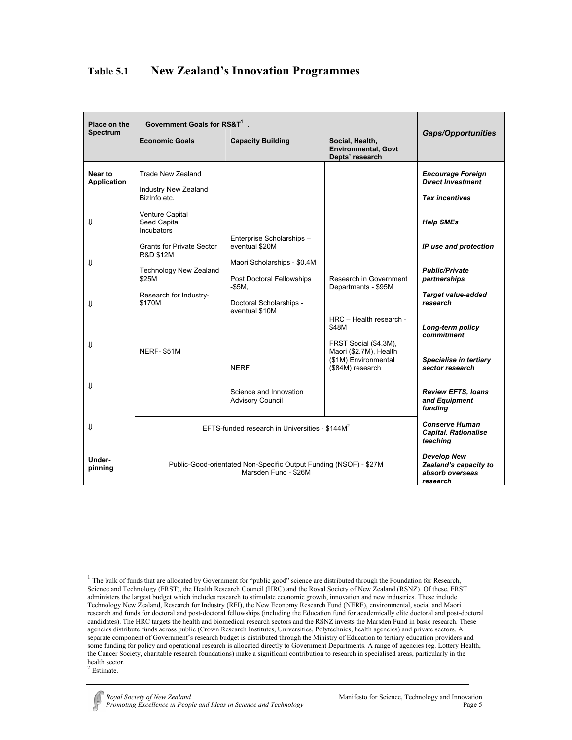| Place on the                  | Government Goals for RS&T <sup>1</sup> .                          |                                                                            |                                                                                             |                                                                               |  |
|-------------------------------|-------------------------------------------------------------------|----------------------------------------------------------------------------|---------------------------------------------------------------------------------------------|-------------------------------------------------------------------------------|--|
| <b>Spectrum</b>               | <b>Economic Goals</b>                                             | <b>Capacity Building</b>                                                   | Social, Health,<br><b>Environmental, Govt</b><br>Depts' research                            | <b>Gaps/Opportunities</b>                                                     |  |
| Near to<br><b>Application</b> | <b>Trade New Zealand</b><br>Industry New Zealand<br>Bizinfo etc.  |                                                                            |                                                                                             | <b>Encourage Foreign</b><br><b>Direct Investment</b><br><b>Tax incentives</b> |  |
| ⇓                             | Venture Capital<br>Seed Capital<br>Incubators                     | Enterprise Scholarships -                                                  |                                                                                             | <b>Help SMEs</b>                                                              |  |
| ⇓                             | <b>Grants for Private Sector</b><br><b>R&amp;D \$12M</b>          | eventual \$20M<br>Maori Scholarships - \$0.4M                              |                                                                                             | IP use and protection                                                         |  |
|                               | Technology New Zealand<br>\$25M                                   | Post Doctoral Fellowships<br>$-$ \$5M,                                     | Research in Government<br>Departments - \$95M                                               | <b>Public/Private</b><br>partnerships                                         |  |
| ⇓                             | Research for Industry-<br>\$170M                                  | Doctoral Scholarships -<br>eventual \$10M                                  |                                                                                             | <b>Target value-added</b><br>research                                         |  |
|                               |                                                                   |                                                                            | HRC - Health research -<br>\$48M                                                            | Long-term policy<br>commitment                                                |  |
| ⇓                             | NERF-\$51M                                                        | <b>NERF</b>                                                                | FRST Social (\$4.3M),<br>Maori (\$2.7M), Health<br>(\$1M) Environmental<br>(\$84M) research | Specialise in tertiary<br>sector research                                     |  |
| ₩                             |                                                                   | Science and Innovation<br><b>Advisory Council</b>                          |                                                                                             | <b>Review EFTS, loans</b><br>and Equipment<br>funding                         |  |
| ⇓                             | EFTS-funded research in Universities - \$144M <sup>2</sup>        |                                                                            |                                                                                             | <b>Conserve Human</b><br><b>Capital. Rationalise</b><br>teaching              |  |
| Under-<br>pinning             | Public-Good-orientated Non-Specific Output Funding (NSOF) - \$27M | <b>Develop New</b><br>Zealand's capacity to<br>absorb overseas<br>research |                                                                                             |                                                                               |  |

# **Table 5.1 New Zealand's Innovation Programmes**

 $\overline{a}$ 

 $<sup>1</sup>$  The bulk of funds that are allocated by Government for "public good" science are distributed through the Foundation for Research,</sup> Science and Technology (FRST), the Health Research Council (HRC) and the Royal Society of New Zealand (RSNZ). Of these, FRST administers the largest budget which includes research to stimulate economic growth, innovation and new industries. These include Technology New Zealand, Research for Industry (RFI), the New Economy Research Fund (NERF), environmental, social and Maori research and funds for doctoral and post-doctoral fellowships (including the Education fund for academically elite doctoral and post-doctoral candidates). The HRC targets the health and biomedical research sectors and the RSNZ invests the Marsden Fund in basic research. These agencies distribute funds across public (Crown Research Institutes, Universities, Polytechnics, health agencies) and private sectors. A separate component of Government's research budget is distributed through the Ministry of Education to tertiary education providers and some funding for policy and operational research is allocated directly to Government Departments. A range of agencies (eg. Lottery Health, the Cancer Society, charitable research foundations) make a significant contribution to research in specialised areas, particularly in the health sector.<br><sup>2</sup> Estimate.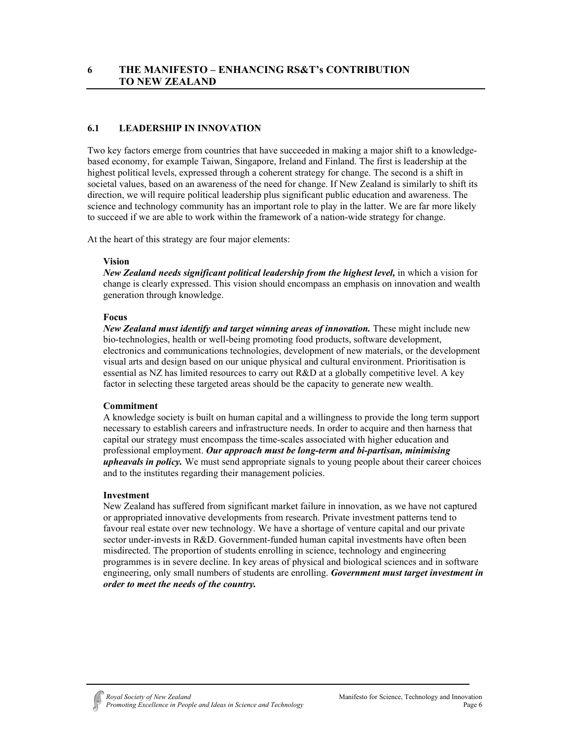# **6.1 LEADERSHIP IN INNOVATION**

Two key factors emerge from countries that have succeeded in making a major shift to a knowledgebased economy, for example Taiwan, Singapore, Ireland and Finland. The first is leadership at the highest political levels, expressed through a coherent strategy for change. The second is a shift in societal values, based on an awareness of the need for change. If New Zealand is similarly to shift its direction, we will require political leadership plus significant public education and awareness. The science and technology community has an important role to play in the latter. We are far more likely to succeed if we are able to work within the framework of a nation-wide strategy for change.

At the heart of this strategy are four major elements:

## **Vision**

*New Zealand needs significant political leadership from the highest level,* in which a vision for change is clearly expressed. This vision should encompass an emphasis on innovation and wealth generation through knowledge.

## **Focus**

*New Zealand must identify and target winning areas of innovation.* These might include new bio-technologies, health or well-being promoting food products, software development, electronics and communications technologies, development of new materials, or the development visual arts and design based on our unique physical and cultural environment. Prioritisation is essential as NZ has limited resources to carry out R&D at a globally competitive level. A key factor in selecting these targeted areas should be the capacity to generate new wealth.

## **Commitment**

A knowledge society is built on human capital and a willingness to provide the long term support necessary to establish careers and infrastructure needs. In order to acquire and then harness that capital our strategy must encompass the time-scales associated with higher education and professional employment. *Our approach must be long-term and bi-partisan, minimising upheavals in policy.* We must send appropriate signals to young people about their career choices and to the institutes regarding their management policies.

## **Investment**

New Zealand has suffered from significant market failure in innovation, as we have not captured or appropriated innovative developments from research. Private investment patterns tend to favour real estate over new technology. We have a shortage of venture capital and our private sector under-invests in R&D. Government-funded human capital investments have often been misdirected. The proportion of students enrolling in science, technology and engineering programmes is in severe decline. In key areas of physical and biological sciences and in software engineering, only small numbers of students are enrolling. *Government must target investment in order to meet the needs of the country.*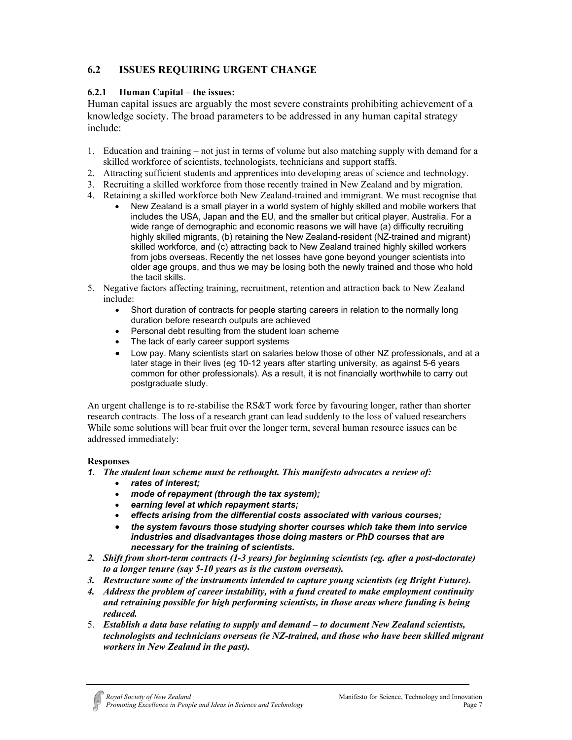# **6.2 ISSUES REQUIRING URGENT CHANGE**

# **6.2.1 Human Capital – the issues:**

Human capital issues are arguably the most severe constraints prohibiting achievement of a knowledge society. The broad parameters to be addressed in any human capital strategy include:

- 1. Education and training not just in terms of volume but also matching supply with demand for a skilled workforce of scientists, technologists, technicians and support staffs.
- 2. Attracting sufficient students and apprentices into developing areas of science and technology.
- 3. Recruiting a skilled workforce from those recently trained in New Zealand and by migration.
- 4. Retaining a skilled workforce both New Zealand-trained and immigrant. We must recognise that
	- New Zealand is a small player in a world system of highly skilled and mobile workers that includes the USA, Japan and the EU, and the smaller but critical player, Australia. For a wide range of demographic and economic reasons we will have (a) difficulty recruiting highly skilled migrants, (b) retaining the New Zealand-resident (NZ-trained and migrant) skilled workforce, and (c) attracting back to New Zealand trained highly skilled workers from jobs overseas. Recently the net losses have gone beyond younger scientists into older age groups, and thus we may be losing both the newly trained and those who hold the tacit skills.
- 5. Negative factors affecting training, recruitment, retention and attraction back to New Zealand include:
	- Short duration of contracts for people starting careers in relation to the normally long duration before research outputs are achieved
	- Personal debt resulting from the student loan scheme
	- The lack of early career support systems
	- Low pay. Many scientists start on salaries below those of other NZ professionals, and at a later stage in their lives (eg 10-12 years after starting university, as against 5-6 years common for other professionals). As a result, it is not financially worthwhile to carry out postgraduate study.

An urgent challenge is to re-stabilise the RS&T work force by favouring longer, rather than shorter research contracts. The loss of a research grant can lead suddenly to the loss of valued researchers While some solutions will bear fruit over the longer term, several human resource issues can be addressed immediately:

# **Responses**

- *1. The student loan scheme must be rethought. This manifesto advocates a review of:*
	- *rates of interest;*
	- *mode of repayment (through the tax system);*
	- *earning level at which repayment starts;*
	- *effects arising from the differential costs associated with various courses;*
	- *the system favours those studying shorter courses which take them into service industries and disadvantages those doing masters or PhD courses that are necessary for the training of scientists.*
- *2. Shift from short-term contracts (1-3 years) for beginning scientists (eg. after a post-doctorate) to a longer tenure (say 5-10 years as is the custom overseas).*
- *3. Restructure some of the instruments intended to capture young scientists (eg Bright Future).*
- *4. Address the problem of career instability, with a fund created to make employment continuity and retraining possible for high performing scientists, in those areas where funding is being reduced.*
- 5. *Establish a data base relating to supply and demand to document New Zealand scientists, technologists and technicians overseas (ie NZ-trained, and those who have been skilled migrant workers in New Zealand in the past).*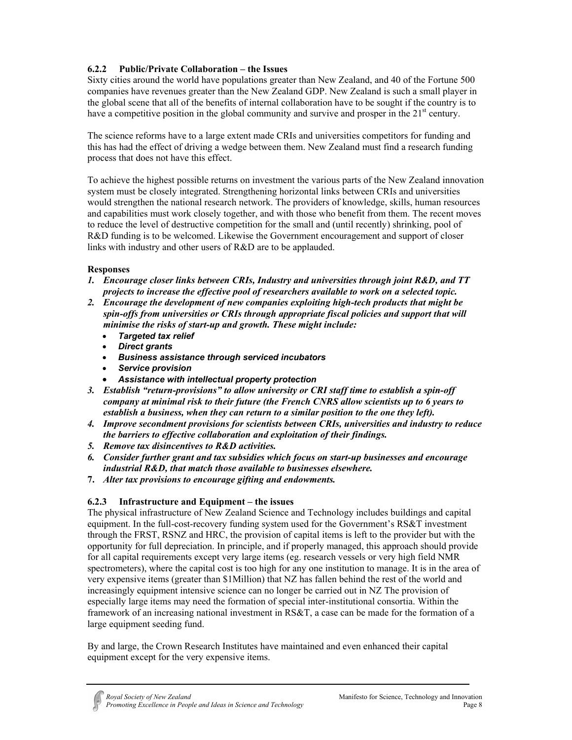# **6.2.2 Public/Private Collaboration – the Issues**

Sixty cities around the world have populations greater than New Zealand, and 40 of the Fortune 500 companies have revenues greater than the New Zealand GDP. New Zealand is such a small player in the global scene that all of the benefits of internal collaboration have to be sought if the country is to have a competitive position in the global community and survive and prosper in the  $21<sup>st</sup>$  century.

The science reforms have to a large extent made CRIs and universities competitors for funding and this has had the effect of driving a wedge between them. New Zealand must find a research funding process that does not have this effect.

To achieve the highest possible returns on investment the various parts of the New Zealand innovation system must be closely integrated. Strengthening horizontal links between CRIs and universities would strengthen the national research network. The providers of knowledge, skills, human resources and capabilities must work closely together, and with those who benefit from them. The recent moves to reduce the level of destructive competition for the small and (until recently) shrinking, pool of R&D funding is to be welcomed. Likewise the Government encouragement and support of closer links with industry and other users of R&D are to be applauded.

# **Responses**

- *1. Encourage closer links between CRIs, Industry and universities through joint R&D, and TT projects to increase the effective pool of researchers available to work on a selected topic.*
- *2. Encourage the development of new companies exploiting high-tech products that might be spin-offs from universities or CRIs through appropriate fiscal policies and support that will minimise the risks of start-up and growth. These might include:* 
	- *Targeted tax relief*
	- *Direct grants*
	- *Business assistance through serviced incubators*
	- *Service provision*
	- *Assistance with intellectual property protection*
- *3. Establish "return-provisions" to allow university or CRI staff time to establish a spin-off company at minimal risk to their future (the French CNRS allow scientists up to 6 years to establish a business, when they can return to a similar position to the one they left).*
- *4. Improve secondment provisions for scientists between CRIs, universities and industry to reduce the barriers to effective collaboration and exploitation of their findings.*
- *5. Remove tax disincentives to R&D activities.*
- *6. Consider further grant and tax subsidies which focus on start-up businesses and encourage industrial R&D, that match those available to businesses elsewhere.*
- **7.** *Alter tax provisions to encourage gifting and endowments.*

# **6.2.3 Infrastructure and Equipment – the issues**

The physical infrastructure of New Zealand Science and Technology includes buildings and capital equipment. In the full-cost-recovery funding system used for the Government's RS&T investment through the FRST, RSNZ and HRC, the provision of capital items is left to the provider but with the opportunity for full depreciation. In principle, and if properly managed, this approach should provide for all capital requirements except very large items (eg. research vessels or very high field NMR spectrometers), where the capital cost is too high for any one institution to manage. It is in the area of very expensive items (greater than \$1Million) that NZ has fallen behind the rest of the world and increasingly equipment intensive science can no longer be carried out in NZ The provision of especially large items may need the formation of special inter-institutional consortia. Within the framework of an increasing national investment in RS&T, a case can be made for the formation of a large equipment seeding fund.

By and large, the Crown Research Institutes have maintained and even enhanced their capital equipment except for the very expensive items.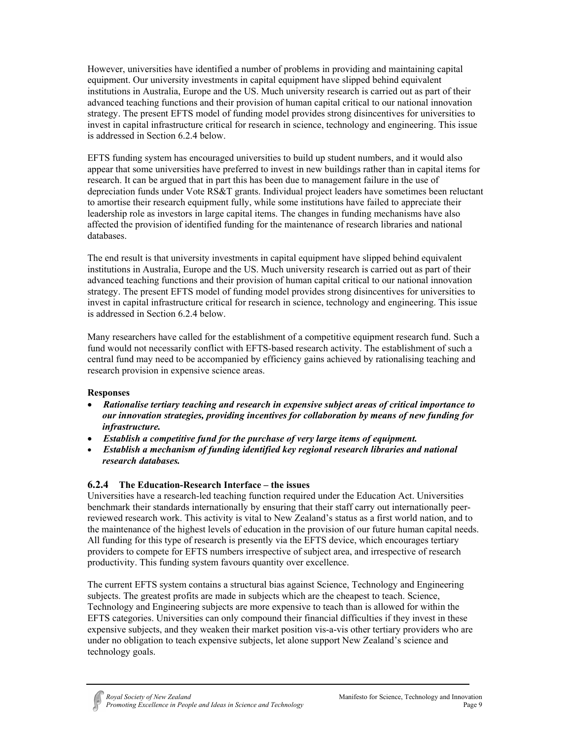However, universities have identified a number of problems in providing and maintaining capital equipment. Our university investments in capital equipment have slipped behind equivalent institutions in Australia, Europe and the US. Much university research is carried out as part of their advanced teaching functions and their provision of human capital critical to our national innovation strategy. The present EFTS model of funding model provides strong disincentives for universities to invest in capital infrastructure critical for research in science, technology and engineering. This issue is addressed in Section 6.2.4 below.

EFTS funding system has encouraged universities to build up student numbers, and it would also appear that some universities have preferred to invest in new buildings rather than in capital items for research. It can be argued that in part this has been due to management failure in the use of depreciation funds under Vote RS&T grants. Individual project leaders have sometimes been reluctant to amortise their research equipment fully, while some institutions have failed to appreciate their leadership role as investors in large capital items. The changes in funding mechanisms have also affected the provision of identified funding for the maintenance of research libraries and national databases.

The end result is that university investments in capital equipment have slipped behind equivalent institutions in Australia, Europe and the US. Much university research is carried out as part of their advanced teaching functions and their provision of human capital critical to our national innovation strategy. The present EFTS model of funding model provides strong disincentives for universities to invest in capital infrastructure critical for research in science, technology and engineering. This issue is addressed in Section 6.2.4 below.

Many researchers have called for the establishment of a competitive equipment research fund. Such a fund would not necessarily conflict with EFTS-based research activity. The establishment of such a central fund may need to be accompanied by efficiency gains achieved by rationalising teaching and research provision in expensive science areas.

# **Responses**

- *Rationalise tertiary teaching and research in expensive subject areas of critical importance to our innovation strategies, providing incentives for collaboration by means of new funding for infrastructure.*
- *Establish a competitive fund for the purchase of very large items of equipment.*
- *Establish a mechanism of funding identified key regional research libraries and national research databases.*

# **6.2.4 The Education-Research Interface – the issues**

Universities have a research-led teaching function required under the Education Act. Universities benchmark their standards internationally by ensuring that their staff carry out internationally peerreviewed research work. This activity is vital to New Zealand's status as a first world nation, and to the maintenance of the highest levels of education in the provision of our future human capital needs. All funding for this type of research is presently via the EFTS device, which encourages tertiary providers to compete for EFTS numbers irrespective of subject area, and irrespective of research productivity. This funding system favours quantity over excellence.

The current EFTS system contains a structural bias against Science, Technology and Engineering subjects. The greatest profits are made in subjects which are the cheapest to teach. Science, Technology and Engineering subjects are more expensive to teach than is allowed for within the EFTS categories. Universities can only compound their financial difficulties if they invest in these expensive subjects, and they weaken their market position vis-a-vis other tertiary providers who are under no obligation to teach expensive subjects, let alone support New Zealand's science and technology goals.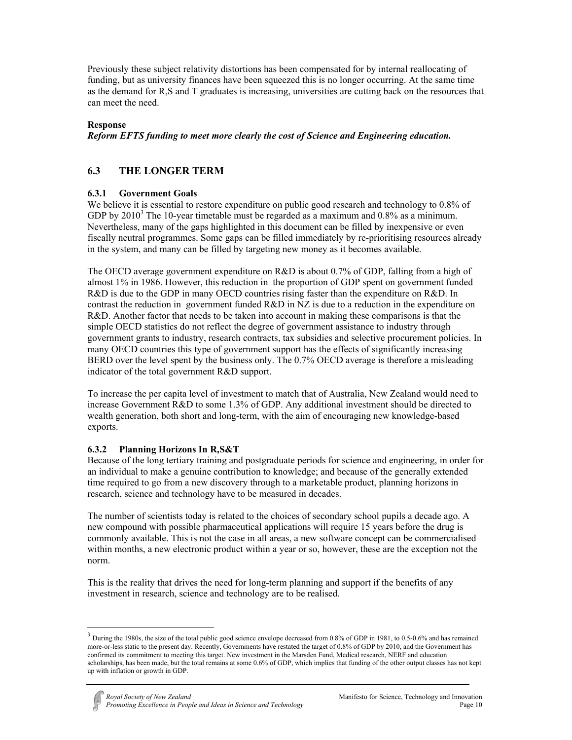Previously these subject relativity distortions has been compensated for by internal reallocating of funding, but as university finances have been squeezed this is no longer occurring. At the same time as the demand for R,S and T graduates is increasing, universities are cutting back on the resources that can meet the need.

## **Response**

*Reform EFTS funding to meet more clearly the cost of Science and Engineering education.* 

# **6.3 THE LONGER TERM**

## **6.3.1 Government Goals**

We believe it is essential to restore expenditure on public good research and technology to 0.8% of GDP by  $2010<sup>3</sup>$  The 10-year timetable must be regarded as a maximum and 0.8% as a minimum. Nevertheless, many of the gaps highlighted in this document can be filled by inexpensive or even fiscally neutral programmes. Some gaps can be filled immediately by re-prioritising resources already in the system, and many can be filled by targeting new money as it becomes available.

The OECD average government expenditure on R&D is about 0.7% of GDP, falling from a high of almost 1% in 1986. However, this reduction in the proportion of GDP spent on government funded R&D is due to the GDP in many OECD countries rising faster than the expenditure on R&D. In contrast the reduction in government funded  $R&D$  in NZ is due to a reduction in the expenditure on R&D. Another factor that needs to be taken into account in making these comparisons is that the simple OECD statistics do not reflect the degree of government assistance to industry through government grants to industry, research contracts, tax subsidies and selective procurement policies. In many OECD countries this type of government support has the effects of significantly increasing BERD over the level spent by the business only. The 0.7% OECD average is therefore a misleading indicator of the total government R&D support.

To increase the per capita level of investment to match that of Australia, New Zealand would need to increase Government R&D to some 1.3% of GDP. Any additional investment should be directed to wealth generation, both short and long-term, with the aim of encouraging new knowledge-based exports.

# **6.3.2 Planning Horizons In R,S&T**

 $\overline{a}$ 

Because of the long tertiary training and postgraduate periods for science and engineering, in order for an individual to make a genuine contribution to knowledge; and because of the generally extended time required to go from a new discovery through to a marketable product, planning horizons in research, science and technology have to be measured in decades.

The number of scientists today is related to the choices of secondary school pupils a decade ago. A new compound with possible pharmaceutical applications will require 15 years before the drug is commonly available. This is not the case in all areas, a new software concept can be commercialised within months, a new electronic product within a year or so, however, these are the exception not the norm.

This is the reality that drives the need for long-term planning and support if the benefits of any investment in research, science and technology are to be realised.

 $3$  During the 1980s, the size of the total public good science envelope decreased from 0.8% of GDP in 1981, to 0.5-0.6% and has remained more-or-less static to the present day. Recently, Governments have restated the target of 0.8% of GDP by 2010, and the Government has confirmed its commitment to meeting this target. New investment in the Marsden Fund, Medical research, NERF and education scholarships, has been made, but the total remains at some 0.6% of GDP, which implies that funding of the other output classes has not kept up with inflation or growth in GDP.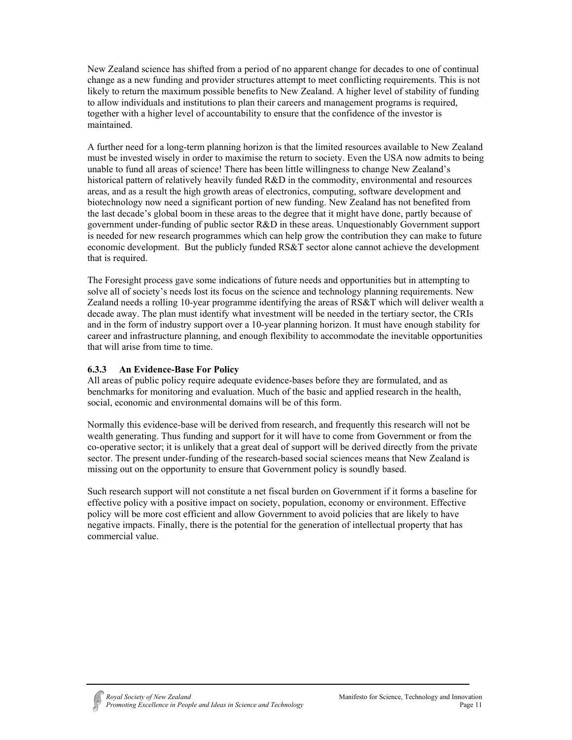New Zealand science has shifted from a period of no apparent change for decades to one of continual change as a new funding and provider structures attempt to meet conflicting requirements. This is not likely to return the maximum possible benefits to New Zealand. A higher level of stability of funding to allow individuals and institutions to plan their careers and management programs is required, together with a higher level of accountability to ensure that the confidence of the investor is maintained.

A further need for a long-term planning horizon is that the limited resources available to New Zealand must be invested wisely in order to maximise the return to society. Even the USA now admits to being unable to fund all areas of science! There has been little willingness to change New Zealand's historical pattern of relatively heavily funded R&D in the commodity, environmental and resources areas, and as a result the high growth areas of electronics, computing, software development and biotechnology now need a significant portion of new funding. New Zealand has not benefited from the last decade's global boom in these areas to the degree that it might have done, partly because of government under-funding of public sector R&D in these areas. Unquestionably Government support is needed for new research programmes which can help grow the contribution they can make to future economic development. But the publicly funded RS&T sector alone cannot achieve the development that is required.

The Foresight process gave some indications of future needs and opportunities but in attempting to solve all of society's needs lost its focus on the science and technology planning requirements. New Zealand needs a rolling 10-year programme identifying the areas of RS&T which will deliver wealth a decade away. The plan must identify what investment will be needed in the tertiary sector, the CRIs and in the form of industry support over a 10-year planning horizon. It must have enough stability for career and infrastructure planning, and enough flexibility to accommodate the inevitable opportunities that will arise from time to time.

# **6.3.3 An Evidence-Base For Policy**

All areas of public policy require adequate evidence-bases before they are formulated, and as benchmarks for monitoring and evaluation. Much of the basic and applied research in the health, social, economic and environmental domains will be of this form.

Normally this evidence-base will be derived from research, and frequently this research will not be wealth generating. Thus funding and support for it will have to come from Government or from the co-operative sector; it is unlikely that a great deal of support will be derived directly from the private sector. The present under-funding of the research-based social sciences means that New Zealand is missing out on the opportunity to ensure that Government policy is soundly based.

Such research support will not constitute a net fiscal burden on Government if it forms a baseline for effective policy with a positive impact on society, population, economy or environment. Effective policy will be more cost efficient and allow Government to avoid policies that are likely to have negative impacts. Finally, there is the potential for the generation of intellectual property that has commercial value.